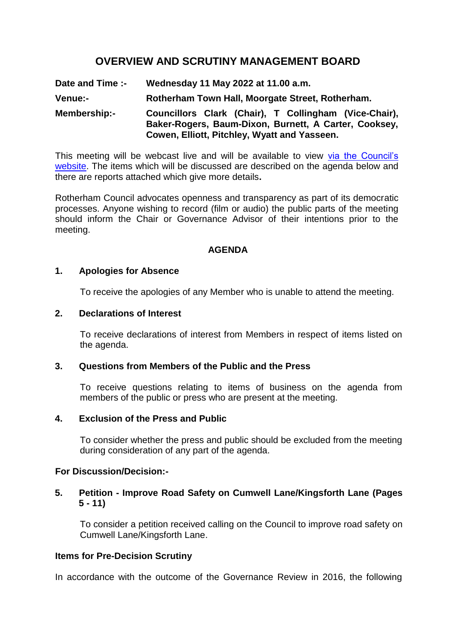# **OVERVIEW AND SCRUTINY MANAGEMENT BOARD**

**Date and Time :- Wednesday 11 May 2022 at 11.00 a.m. Venue:- Rotherham Town Hall, Moorgate Street, Rotherham. Membership:- Councillors Clark (Chair), T Collingham (Vice-Chair), Baker-Rogers, Baum-Dixon, Burnett, A Carter, Cooksey, Cowen, Elliott, Pitchley, Wyatt and Yasseen.**

This meeting will be webcast live and will be available to view [via the Council's](https://rotherham.public-i.tv/core/portal/home)  [website.](https://rotherham.public-i.tv/core/portal/home) The items which will be discussed are described on the agenda below and there are reports attached which give more details**.**

Rotherham Council advocates openness and transparency as part of its democratic processes. Anyone wishing to record (film or audio) the public parts of the meeting should inform the Chair or Governance Advisor of their intentions prior to the meeting.

#### **AGENDA**

#### **1. Apologies for Absence**

To receive the apologies of any Member who is unable to attend the meeting.

### **2. Declarations of Interest**

To receive declarations of interest from Members in respect of items listed on the agenda.

#### **3. Questions from Members of the Public and the Press**

To receive questions relating to items of business on the agenda from members of the public or press who are present at the meeting.

#### **4. Exclusion of the Press and Public**

To consider whether the press and public should be excluded from the meeting during consideration of any part of the agenda.

#### **For Discussion/Decision:-**

### **5. Petition - Improve Road Safety on Cumwell Lane/Kingsforth Lane (Pages 5 - 11)**

To consider a petition received calling on the Council to improve road safety on Cumwell Lane/Kingsforth Lane.

### **Items for Pre-Decision Scrutiny**

In accordance with the outcome of the Governance Review in 2016, the following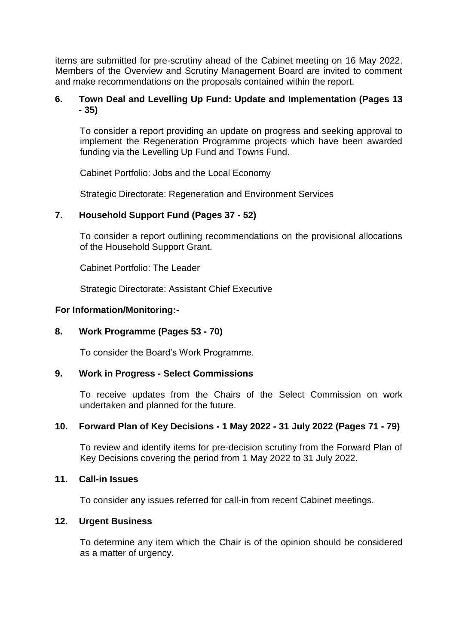items are submitted for pre-scrutiny ahead of the Cabinet meeting on 16 May 2022. Members of the Overview and Scrutiny Management Board are invited to comment and make recommendations on the proposals contained within the report.

### **6. Town Deal and Levelling Up Fund: Update and Implementation (Pages 13 - 35)**

To consider a report providing an update on progress and seeking approval to implement the Regeneration Programme projects which have been awarded funding via the Levelling Up Fund and Towns Fund.

Cabinet Portfolio: Jobs and the Local Economy

Strategic Directorate: Regeneration and Environment Services

## **7. Household Support Fund (Pages 37 - 52)**

To consider a report outlining recommendations on the provisional allocations of the Household Support Grant.

Cabinet Portfolio: The Leader

Strategic Directorate: Assistant Chief Executive

### **For Information/Monitoring:-**

### **8. Work Programme (Pages 53 - 70)**

To consider the Board's Work Programme.

### **9. Work in Progress - Select Commissions**

To receive updates from the Chairs of the Select Commission on work undertaken and planned for the future.

### **10. Forward Plan of Key Decisions - 1 May 2022 - 31 July 2022 (Pages 71 - 79)**

To review and identify items for pre-decision scrutiny from the Forward Plan of Key Decisions covering the period from 1 May 2022 to 31 July 2022.

#### **11. Call-in Issues**

To consider any issues referred for call-in from recent Cabinet meetings.

### **12. Urgent Business**

To determine any item which the Chair is of the opinion should be considered as a matter of urgency.